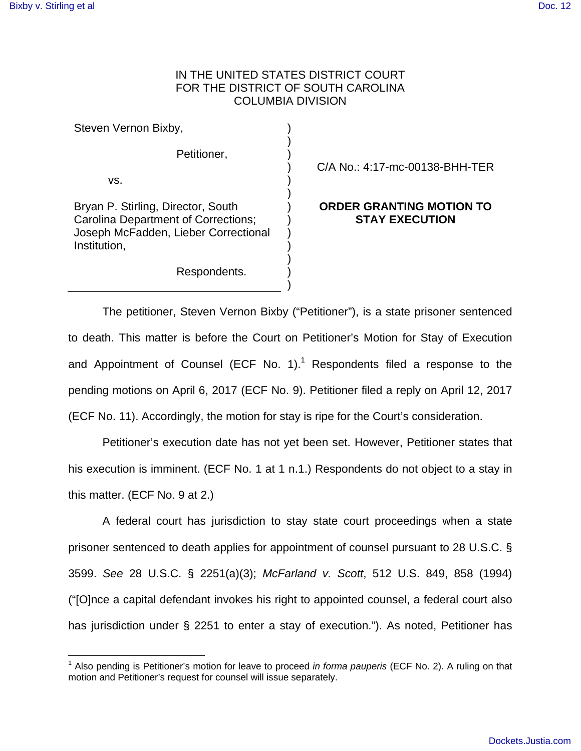## IN THE UNITED STATES DISTRICT COURT FOR THE DISTRICT OF SOUTH CAROLINA COLUMBIA DIVISION

) ) ) ) ) ) ) ) ) ) ) ) )

Steven Vernon Bixby,

Petitioner,

vs.

 $\overline{a}$ 

Bryan P. Stirling, Director, South Carolina Department of Corrections; Joseph McFadden, Lieber Correctional Institution,

Respondents.

C/A No.: 4:17-mc-00138-BHH-TER

## **ORDER GRANTING MOTION TO STAY EXECUTION**

The petitioner, Steven Vernon Bixby ("Petitioner"), is a state prisoner sentenced to death. This matter is before the Court on Petitioner's Motion for Stay of Execution and Appointment of Counsel (ECF No. 1).<sup>1</sup> Respondents filed a response to the pending motions on April 6, 2017 (ECF No. 9). Petitioner filed a reply on April 12, 2017 (ECF No. 11). Accordingly, the motion for stay is ripe for the Court's consideration.

Petitioner's execution date has not yet been set. However, Petitioner states that his execution is imminent. (ECF No. 1 at 1 n.1.) Respondents do not object to a stay in this matter. (ECF No. 9 at 2.)

A federal court has jurisdiction to stay state court proceedings when a state prisoner sentenced to death applies for appointment of counsel pursuant to 28 U.S.C. § 3599. See 28 U.S.C. § 2251(a)(3); McFarland v. Scott, 512 U.S. 849, 858 (1994) ("[O]nce a capital defendant invokes his right to appointed counsel, a federal court also has jurisdiction under § 2251 to enter a stay of execution."). As noted, Petitioner has

<sup>&</sup>lt;sup>1</sup> Also pending is Petitioner's motion for leave to proceed *in forma pauperis* (ECF No. 2). A ruling on that motion and Petitioner's request for counsel will issue separately.